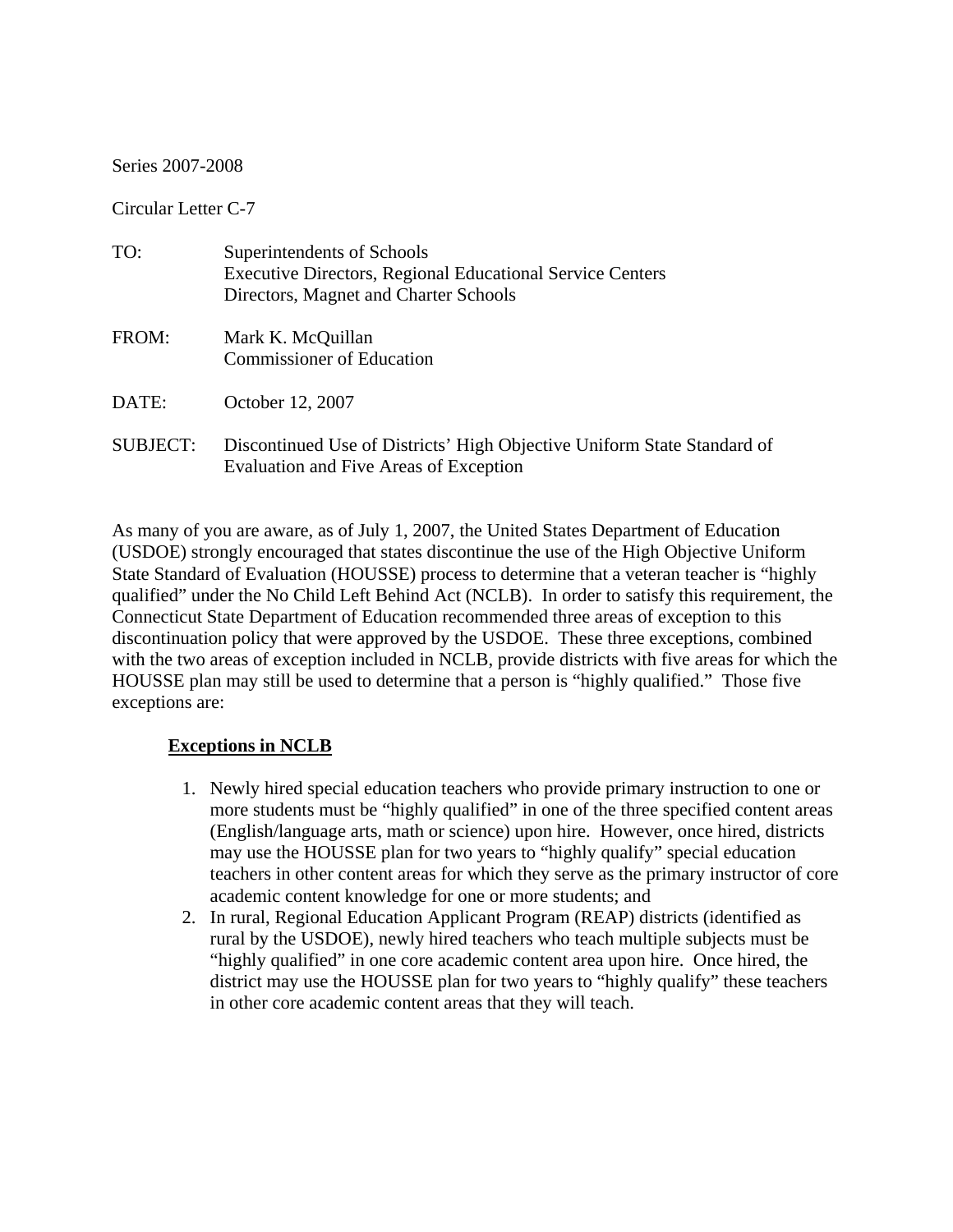Series 2007-2008

Circular Letter C-7

| TO:             | Superintendents of Schools<br><b>Executive Directors, Regional Educational Service Centers</b><br>Directors, Magnet and Charter Schools |
|-----------------|-----------------------------------------------------------------------------------------------------------------------------------------|
| FROM:           | Mark K. McQuillan<br><b>Commissioner of Education</b>                                                                                   |
| DATE:           | October 12, 2007                                                                                                                        |
| <b>SUBJECT:</b> | Discontinued Use of Districts' High Objective Uniform State Standard of<br>Evaluation and Five Areas of Exception                       |

As many of you are aware, as of July 1, 2007, the United States Department of Education (USDOE) strongly encouraged that states discontinue the use of the High Objective Uniform State Standard of Evaluation (HOUSSE) process to determine that a veteran teacher is "highly qualified" under the No Child Left Behind Act (NCLB). In order to satisfy this requirement, the Connecticut State Department of Education recommended three areas of exception to this discontinuation policy that were approved by the USDOE. These three exceptions, combined with the two areas of exception included in NCLB, provide districts with five areas for which the HOUSSE plan may still be used to determine that a person is "highly qualified." Those five exceptions are:

## **Exceptions in NCLB**

- 1. Newly hired special education teachers who provide primary instruction to one or more students must be "highly qualified" in one of the three specified content areas (English/language arts, math or science) upon hire. However, once hired, districts may use the HOUSSE plan for two years to "highly qualify" special education teachers in other content areas for which they serve as the primary instructor of core academic content knowledge for one or more students; and
- 2. In rural, Regional Education Applicant Program (REAP) districts (identified as rural by the USDOE), newly hired teachers who teach multiple subjects must be "highly qualified" in one core academic content area upon hire. Once hired, the district may use the HOUSSE plan for two years to "highly qualify" these teachers in other core academic content areas that they will teach.